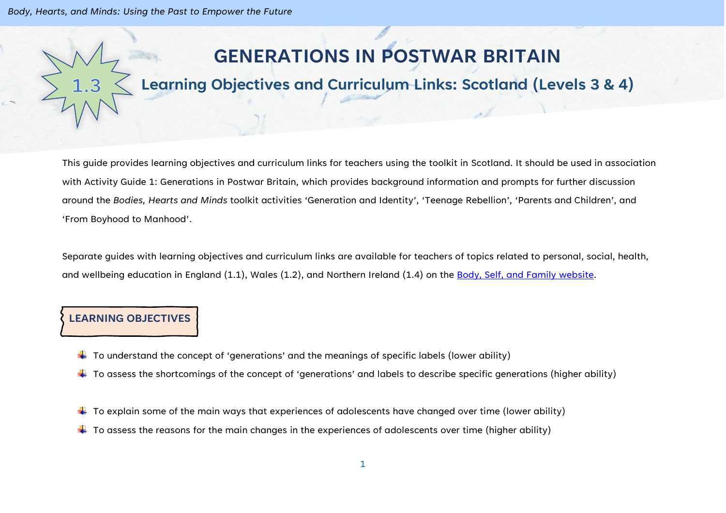*Body, Hearts, and Minds: Using the Past to Empower the Future*

# **GENERATIONS IN POSTWAR BRITAIN**

# **Learning Objectives and Curriculum Links: Scotland (Levels 3 & 4)**

This guide provides learning objectives and curriculum links for teachers using the toolkit in Scotland. It should be used in association with Activity Guide 1: Generations in Postwar Britain, which provides background information and prompts for further discussion around the *Bodies, Hearts and Minds* toolkit activities 'Generation and Identity', 'Teenage Rebellion', 'Parents and Children', and 'From Boyhood to Manhood'.

Separate guides with learning objectives and curriculum links are available for teachers of topics related to personal, social, health, and wellbeing education in England (1.1), Wales (1.2), and Northern Ireland (1.4) on the [Body, Self, and Family website.](https://bodyselffamily.org/)

#### **LEARNING OBJECTIVES**

- $\downarrow$  To understand the concept of 'generations' and the meanings of specific labels (lower ability)
- $\ddotplus$  To assess the shortcomings of the concept of 'generations' and labels to describe specific generations (higher ability)
- $\downarrow$  To explain some of the main ways that experiences of adolescents have changed over time (lower ability)
- $\ddot{\bullet}$  To assess the reasons for the main changes in the experiences of adolescents over time (higher ability)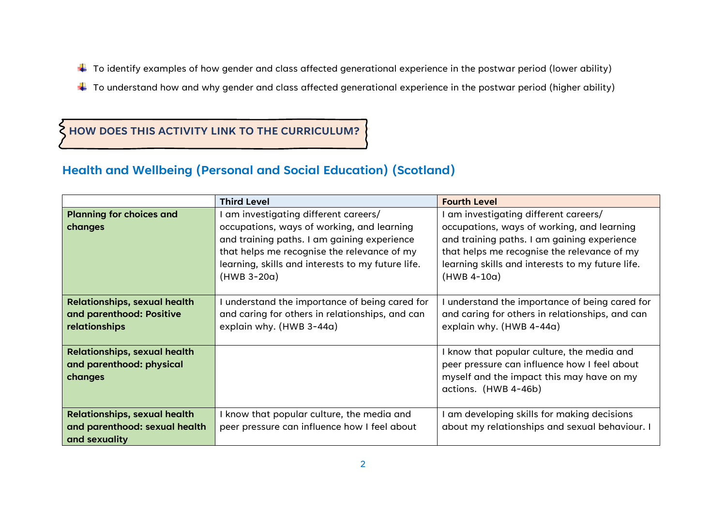- $\ddotplus$  To identify examples of how gender and class affected generational experience in the postwar period (lower ability)
- $\ddotplus$  To understand how and why gender and class affected generational experience in the postwar period (higher ability)

## **HOW DOES THIS ACTIVITY LINK TO THE CURRICULUM?**

### **Health and Wellbeing (Personal and Social Education) (Scotland)**

|                                     | <b>Third Level</b>                                | <b>Fourth Level</b>                              |
|-------------------------------------|---------------------------------------------------|--------------------------------------------------|
| <b>Planning for choices and</b>     | am investigating different careers/               | am investigating different careers/              |
| changes                             | occupations, ways of working, and learning        | occupations, ways of working, and learning       |
|                                     | and training paths. I am gaining experience       | and training paths. I am gaining experience      |
|                                     | that helps me recognise the relevance of my       | that helps me recognise the relevance of my      |
|                                     | learning, skills and interests to my future life. | learning skills and interests to my future life. |
|                                     | (HWB 3-20a)                                       | $(HWB 4-10a)$                                    |
|                                     |                                                   |                                                  |
| <b>Relationships, sexual health</b> | understand the importance of being cared for      | understand the importance of being cared for     |
| and parenthood: Positive            | and caring for others in relationships, and can   | and caring for others in relationships, and can  |
| <b>relationships</b>                | explain why. (HWB 3-44a)                          | explain why. (HWB 4-44a)                         |
|                                     |                                                   |                                                  |
| <b>Relationships, sexual health</b> |                                                   | I know that popular culture, the media and       |
| and parenthood: physical            |                                                   | peer pressure can influence how I feel about     |
| changes                             |                                                   | myself and the impact this may have on my        |
|                                     |                                                   | actions. (HWB 4-46b)                             |
|                                     |                                                   |                                                  |
| <b>Relationships, sexual health</b> | know that popular culture, the media and          | am developing skills for making decisions        |
| and parenthood: sexual health       | peer pressure can influence how I feel about      | about my relationships and sexual behaviour. I   |
| and sexuality                       |                                                   |                                                  |